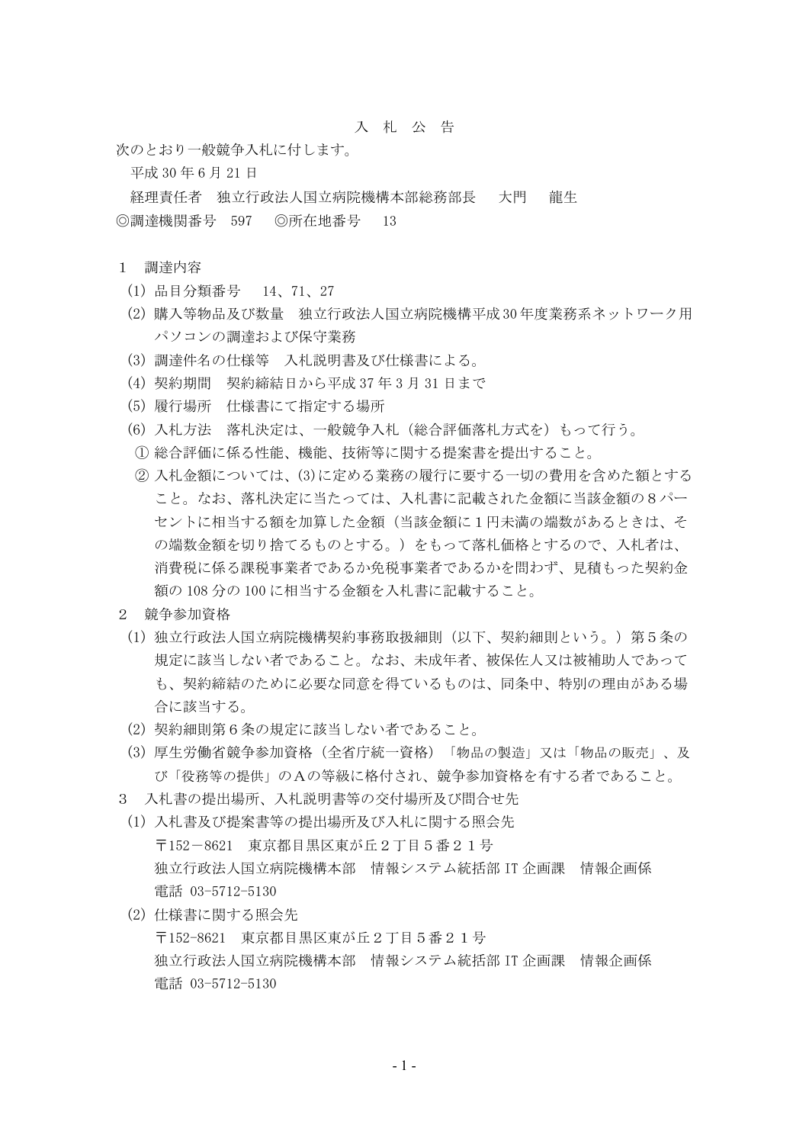## 入 札 公 告

次のとおり一般競争入札に付します。

平成 30 年 6 月 21 日

経理責任者 独立行政法人国立病院機構本部総務部長 大門 龍生 ◎調達機関番号 597 ◎所在地番号 13

## 1 調達内容

- (1) 品目分類番号 14、71、27
- (2) 購入等物品及び数量 独立行政法人国立病院機構平成 30 年度業務系ネットワーク用 パソコンの調達および保守業務
- (3) 調達件名の仕様等 入札説明書及び仕様書による。
- (4) 契約期間 契約締結日から平成 37 年 3 月 31 日まで
- (5) 履行場所 仕様書にて指定する場所
- (6) 入札方法 落札決定は、一般競争入札(総合評価落札方式を)もって行う。
- ① 総合評価に係る性能、機能、技術等に関する提案書を提出すること。
- ② 入札金額については、(3)に定める業務の履行に要する一切の費用を含めた額とする こと。なお、落札決定に当たっては、入札書に記載された金額に当該金額の8パー セントに相当する額を加算した金額(当該金額に1円未満の端数があるときは、そ の端数金額を切り捨てるものとする。)をもって落札価格とするので、入札者は、 消費税に係る課税事業者であるか免税事業者であるかを問わず、見積もった契約金 額の 108 分の 100 に相当する金額を入札書に記載すること。
- 2 競争参加資格
- (1) 独立行政法人国立病院機構契約事務取扱細則(以下、契約細則という。)第5条の 規定に該当しない者であること。なお、未成年者、被保佐人又は被補助人であって も、契約締結のために必要な同意を得ているものは、同条中、特別の理由がある場 合に該当する。
- (2) 契約細則第6条の規定に該当しない者であること。
- (3) 厚生労働省競争参加資格(全省庁統一資格)「物品の製造」又は「物品の販売」、及 び「役務等の提供」のAの等級に格付され、競争参加資格を有する者であること。
- 3 入札書の提出場所、入札説明書等の交付場所及び問合せ先
- (1) 入札書及び提案書等の提出場所及び入札に関する照会先 〒152-8621 東京都目黒区東が丘2丁目5番21号 独立行政法人国立病院機構本部 情報システム統括部 IT 企画課 情報企画係 電話 03-5712-5130
- (2) 仕様書に関する照会先 〒152-8621 東京都目黒区東が丘2丁目5番21号 独立行政法人国立病院機構本部 情報システム統括部 IT 企画課 情報企画係 電話 03-5712-5130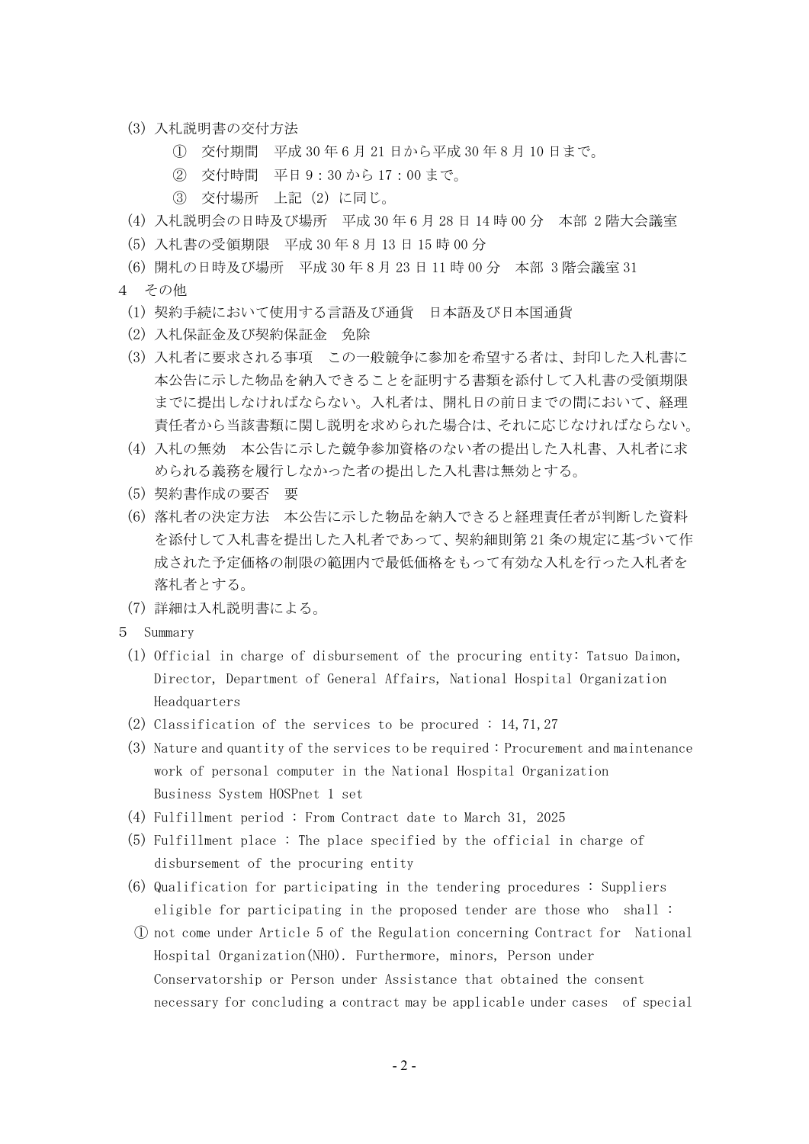- (3) 入札説明書の交付方法
	- ① 交付期間 平成 30 年 6 月 21 日から平成 30 年 8 月 10 日まで。
	- ② 交付時間 平日 9:30 から 17:00 まで。
	- ③ 交付場所 上記(2)に同じ。
- (4) 入札説明会の日時及び場所 平成 30 年 6 月 28 日 14 時 00 分 本部 2 階大会議室
- (5) 入札書の受領期限 平成 30 年 8 月 13 日 15 時 00 分
- (6) 開札の日時及び場所 平成 30 年 8 月 23 日 11 時 00 分 本部 3 階会議室 31
- 4 その他
	- (1) 契約手続において使用する言語及び通貨 日本語及び日本国通貨
	- (2) 入札保証金及び契約保証金 免除
	- (3) 入札者に要求される事項 この一般競争に参加を希望する者は、封印した入札書に 本公告に示した物品を納入できることを証明する書類を添付して入札書の受領期限 までに提出しなければならない。入札者は、開札日の前日までの間において、経理 責任者から当該書類に関し説明を求められた場合は、それに応じなければならない。
	- (4) 入札の無効 本公告に示した競争参加資格のない者の提出した入札書、入札者に求 められる義務を履行しなかった者の提出した入札書は無効とする。
	- (5) 契約書作成の要否 要
	- (6) 落札者の決定方法 本公告に示した物品を納入できると経理責任者が判断した資料 を添付して入札書を提出した入札者であって、契約細則第 21 条の規定に基づいて作 成された予定価格の制限の範囲内で最低価格をもって有効な入札を行った入札者を 落札者とする。
	- (7) 詳細は入札説明書による。
- 5 Summary
	- (1) Official in charge of disbursement of the procuring entity: Tatsuo Daimon, Director, Department of General Affairs, National Hospital Organization Headquarters
	- (2) Classification of the services to be procured : 14, 71, 27
	- (3) Nature and quantity of the services to be required : Procurement and maintenance work of personal computer in the National Hospital Organization Business System HOSPnet 1 set
	- (4) Fulfillment period : From Contract date to March 31, 2025
	- (5) Fulfillment place : The place specified by the official in charge of disbursement of the procuring entity
	- (6) Qualification for participating in the tendering procedures : Suppliers eligible for participating in the proposed tender are those who shall :
	- ① not come under Article 5 of the Regulation concerning Contract for National Hospital Organization(NHO). Furthermore, minors, Person under Conservatorship or Person under Assistance that obtained the consent necessary for concluding a contract may be applicable under cases of special